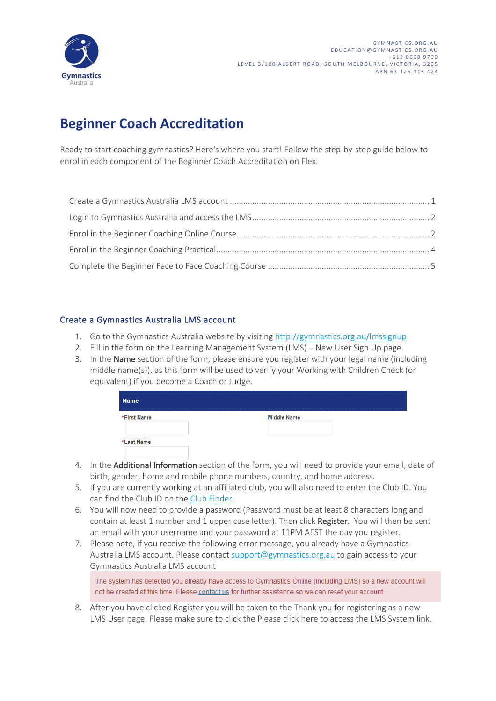

## **Beginner Coach Accreditation**

Ready to start coaching gymnastics? Here's where you start! Follow the step-by-step guide below to enrol in each component of the Beginner Coach Accreditation on Flex.

#### Create a Gymnastics Australia LMS account

- 1. Go to the Gymnastics Australia website by visiting http://gymnastics.org.au/lmssignup
- 2. Fill in the form on the Learning Management System (LMS) New User Sign Up page.
- 3. In the Name section of the form, please ensure you register with your legal name (including middle name(s)), as this form will be used to verify your Working with Children Check (or equivalent) if you become a Coach or Judge.

| <b>Name</b> |                    |
|-------------|--------------------|
| *First Name | <b>Middle Name</b> |
| *Last Name  |                    |

- 4. In the Additional Information section of the form, you will need to provide your email, date of birth, gender, home and mobile phone numbers, country, and home address.
- 5. If you are currently working at an affiliated club, you will also need to enter the Club ID. You can find the Club ID on the Club Finder.
- 6. You will now need to provide a password (Password must be at least 8 characters long and contain at least 1 number and 1 upper case letter). Then click Register. You will then be sent an email with your username and your password at 11PM AEST the day you register.
- 7. Please note, if you receive the following error message, you already have a Gymnastics Australia LMS account. Please contact support@gymnastics.org.au to gain access to your Gymnastics Australia LMS account

The system has detected you already have access to Gymnastics Online (including LMS) so a new account will not be created at this time. Please contact us for further assistance so we can reset your account.

8. After you have clicked Register you will be taken to the Thank you for registering as a new LMS User page. Please make sure to click the Please click here to access the LMS System link.